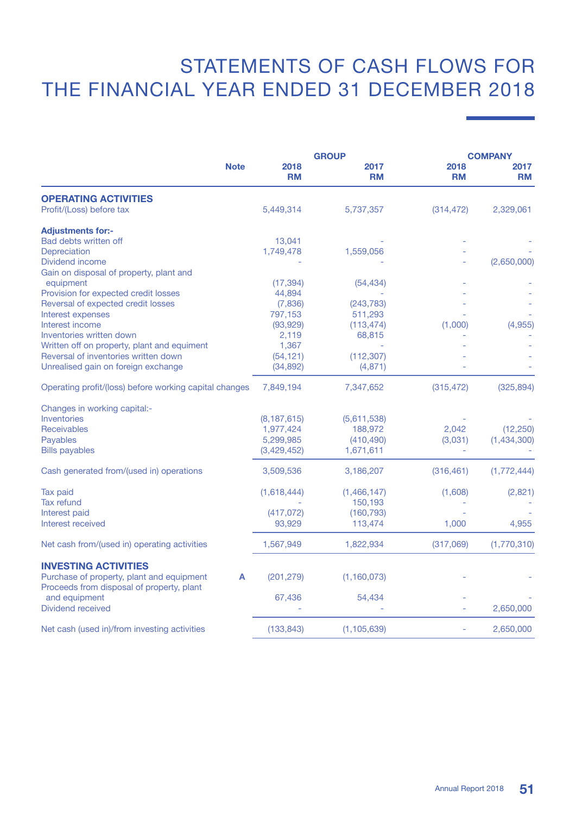## STATEMENTS OF CASH FLOWS FOR The Financial Year Ended 31 December 2018

|                                                                                             | <b>GROUP</b>      |                   | <b>COMPANY</b>    |                   |
|---------------------------------------------------------------------------------------------|-------------------|-------------------|-------------------|-------------------|
| <b>Note</b>                                                                                 | 2018<br><b>RM</b> | 2017<br><b>RM</b> | 2018<br><b>RM</b> | 2017<br><b>RM</b> |
| <b>OPERATING ACTIVITIES</b>                                                                 |                   |                   |                   |                   |
| Profit/(Loss) before tax                                                                    | 5,449,314         | 5,737,357         | (314, 472)        | 2,329,061         |
| <b>Adjustments for:-</b>                                                                    |                   |                   |                   |                   |
| Bad debts written off                                                                       | 13,041            |                   |                   |                   |
| Depreciation                                                                                | 1,749,478         | 1,559,056         |                   |                   |
| Dividend income                                                                             |                   |                   |                   | (2,650,000)       |
| Gain on disposal of property, plant and                                                     |                   |                   |                   |                   |
| equipment                                                                                   | (17, 394)         | (54, 434)         |                   |                   |
| Provision for expected credit losses                                                        | 44,894            |                   |                   |                   |
| Reversal of expected credit losses                                                          | (7,836)           | (243, 783)        |                   |                   |
| Interest expenses                                                                           | 797,153           | 511,293           |                   |                   |
| Interest income                                                                             | (93, 929)         | (113, 474)        | (1,000)           | (4,955)           |
| Inventories written down                                                                    | 2,119             | 68,815            |                   |                   |
| Written off on property, plant and equiment                                                 | 1,367             |                   |                   |                   |
| Reversal of inventories written down                                                        | (54, 121)         | (112, 307)        |                   |                   |
| Unrealised gain on foreign exchange                                                         | (34, 892)         | (4,871)           |                   |                   |
| Operating profit/(loss) before working capital changes                                      | 7,849,194         | 7,347,652         | (315, 472)        | (325, 894)        |
| Changes in working capital:-                                                                |                   |                   |                   |                   |
| Inventories                                                                                 | (8, 187, 615)     | (5,611,538)       |                   |                   |
| <b>Receivables</b>                                                                          | 1,977,424         | 188,972           | 2.042             | (12, 250)         |
| Payables                                                                                    | 5,299,985         | (410, 490)        | (3,031)           | (1,434,300)       |
| <b>Bills payables</b>                                                                       | (3,429,452)       | 1,671,611         |                   |                   |
| Cash generated from/(used in) operations                                                    | 3,509,536         | 3,186,207         | (316, 461)        | (1,772,444)       |
| <b>Tax paid</b>                                                                             | (1,618,444)       | (1,466,147)       | (1,608)           | (2,821)           |
| <b>Tax refund</b>                                                                           |                   | 150,193           |                   |                   |
| Interest paid                                                                               | (417, 072)        | (160, 793)        |                   |                   |
| Interest received                                                                           | 93,929            | 113,474           | 1,000             | 4,955             |
| Net cash from/(used in) operating activities                                                | 1,567,949         | 1,822,934         | (317,069)         | (1,770,310)       |
| <b>INVESTING ACTIVITIES</b>                                                                 |                   |                   |                   |                   |
| Purchase of property, plant and equipment<br>A<br>Proceeds from disposal of property, plant | (201, 279)        | (1, 160, 073)     |                   |                   |
| and equipment                                                                               | 67,436            | 54,434            |                   |                   |
| Dividend received                                                                           |                   |                   |                   | 2,650,000         |
| Net cash (used in)/from investing activities                                                | (133, 843)        | (1, 105, 639)     |                   | 2,650,000         |